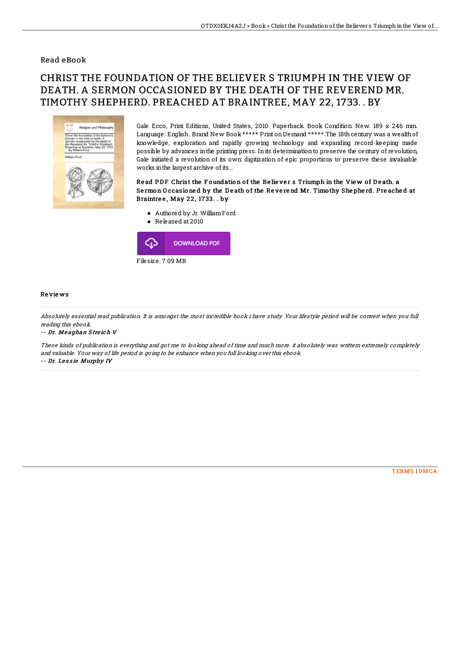### Read eBook

# CHRIST THE FOUNDATION OF THE BELIEVER S TRIUMPH IN THE VIEW OF DEATH. A SERMON OCCASIONED BY THE DEATH OF THE REVEREND MR. TIMOTHY SHEPHERD. PREACHED AT BRAINTREE, MAY 22, 1733. . BY



Gale Ecco, Print Editions, United States, 2010. Paperback. Book Condition: New. 189 x 246 mm. Language: English. Brand New Book \*\*\*\*\* Print on Demand \*\*\*\*\*. The 18th century was a wealth of knowledge, exploration and rapidly growing technology and expanding record-keeping made possible by advances inthe printing press. Inits determinationto preserve the century of revolution, Gale initiated a revolution of its own: digitization of epic proportions to preserve these invaluable works inthe largest archive of its...

#### Read PDF Christ the Foundation of the Believer s Triumph in the View of Death. a Sermon Occasioned by the Death of the Reverend Mr. Timothy Shepherd. Preached at Braintree, May 22, 1733. . by

- Authored by Jr. WilliamFord
- Released at 2010



#### Re vie ws

Absolutely essential read publication. It is amongst the most incredible book i have study. Your lifestyle period will be convert when you full reading this ebook.

#### -- Dr. Me aghan S tre ich V

These kinds of publication is everything and got me to looking ahead of time and much more. it absolutely was writtern extremely completely and valuable. Your way of life period is going to be enhance when you full looking over this ebook. -- Dr. Lessie Murphy IV